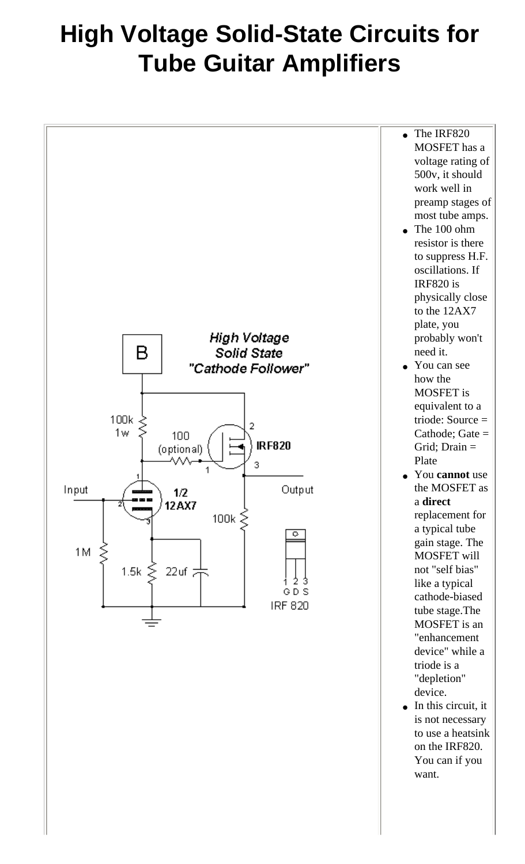## **High Voltage Solid-State Circuits for Tube Guitar Amplifiers**

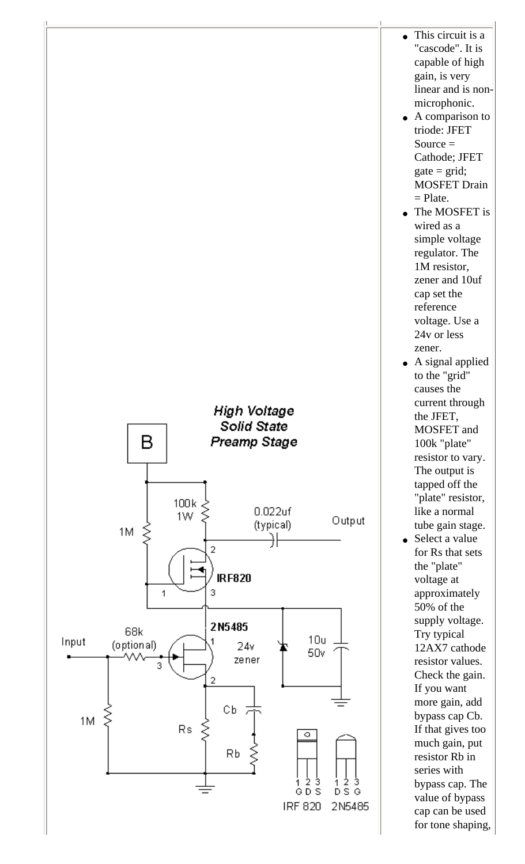

- This circuit is a "cascode". It is capable of high gain, is very linear and is nonmicrophonic.
- A comparison to triode: JFET Source  $=$ Cathode; JFET  $gate = grid;$ MOSFET Drain  $=$  Plate.
- The MOSFET is wired as a simple voltage regulator. The 1M resistor, zener and 10uf cap set the reference voltage. Use a 24v or less zener.
- A signal applied to the "grid" causes the current through the JFET, MOSFET and 100k "plate" resistor to vary. The output is tapped off the "plate" resistor, like a normal tube gain stage.
- Select a value for Rs that sets the "plate" voltage at approximately 50% of the supply voltage. Try typical 12AX7 cathode resistor values. Check the gain. If you want more gain, add bypass cap Cb. If that gives too much gain, put resistor Rb in series with bypass cap. The value of bypass cap can be used for tone shaping,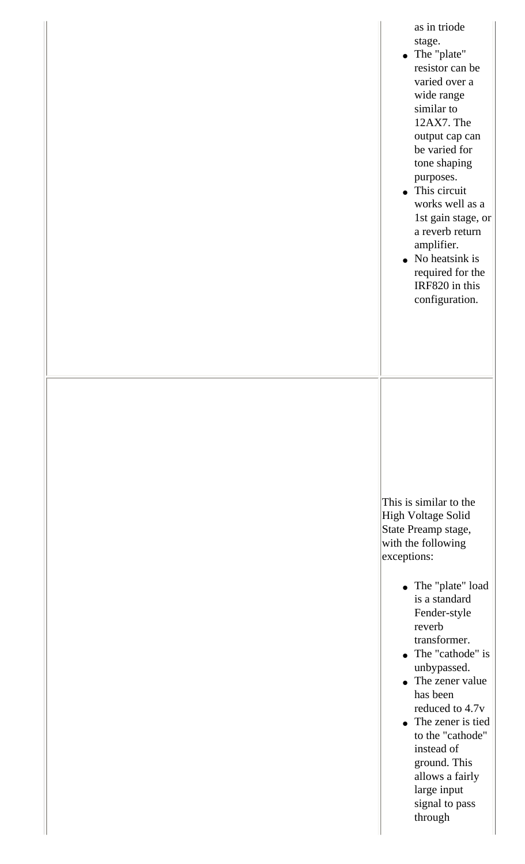| as in triode<br>stage.<br>• The "plate"<br>resistor can be<br>varied over a<br>wide range<br>similar to<br>12AX7. The<br>output cap can<br>be varied for<br>tone shaping<br>purposes.<br>• This circuit<br>works well as a<br>1st gain stage, or<br>a reverb return<br>amplifier.<br>$\bullet$ No heatsink is<br>required for the<br>IRF820 in this<br>configuration.                                                      |  |
|----------------------------------------------------------------------------------------------------------------------------------------------------------------------------------------------------------------------------------------------------------------------------------------------------------------------------------------------------------------------------------------------------------------------------|--|
| This is similar to the<br>High Voltage Solid<br>State Preamp stage,<br>with the following<br>exceptions:<br>• The "plate" load<br>is a standard<br>Fender-style<br>reverb<br>transformer.<br>• The "cathode" is<br>unbypassed.<br>• The zener value<br>has been<br>reduced to 4.7v<br>• The zener is tied<br>to the "cathode"<br>instead of<br>ground. This<br>allows a fairly<br>large input<br>signal to pass<br>through |  |